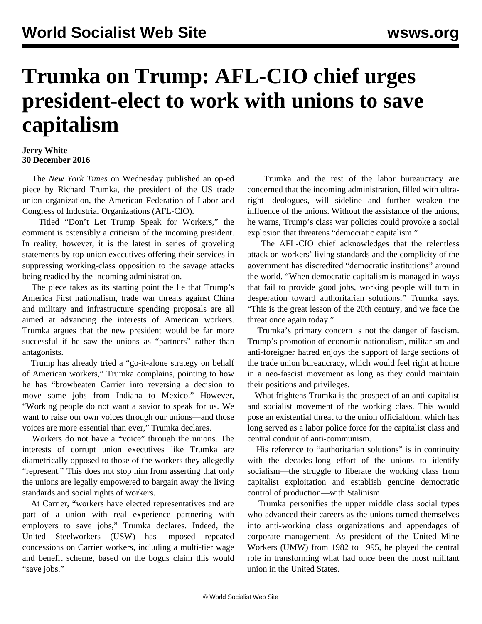## **Trumka on Trump: AFL-CIO chief urges president-elect to work with unions to save capitalism**

## **Jerry White 30 December 2016**

 The *New York Times* on Wednesday published an op-ed piece by Richard Trumka, the president of the US trade union organization, the American Federation of Labor and Congress of Industrial Organizations (AFL-CIO).

 Titled "Don't Let Trump Speak for Workers," the comment is ostensibly a criticism of the incoming president. In reality, however, it is the latest in series of groveling statements by top union executives offering their services in suppressing working-class opposition to the savage attacks being readied by the incoming administration.

 The piece takes as its starting point the lie that Trump's America First nationalism, trade war threats against China and military and infrastructure spending proposals are all aimed at advancing the interests of American workers. Trumka argues that the new president would be far more successful if he saw the unions as "partners" rather than antagonists.

 Trump has already tried a "go-it-alone strategy on behalf of American workers," Trumka complains, pointing to how he has "browbeaten Carrier into reversing a decision to move some jobs from Indiana to Mexico." However, "Working people do not want a savior to speak for us. We want to raise our own voices through our unions—and those voices are more essential than ever," Trumka declares.

 Workers do not have a "voice" through the unions. The interests of corrupt union executives like Trumka are diametrically opposed to those of the workers they allegedly "represent." This does not stop him from asserting that only the unions are legally empowered to bargain away the living standards and social rights of workers.

 At Carrier, "workers have elected representatives and are part of a union with real experience partnering with employers to save jobs," Trumka declares. Indeed, the United Steelworkers (USW) has imposed repeated concessions on Carrier workers, including a multi-tier wage and benefit scheme, based on the bogus claim this would "save jobs."

 Trumka and the rest of the labor bureaucracy are concerned that the incoming administration, filled with ultraright ideologues, will sideline and further weaken the influence of the unions. Without the assistance of the unions, he warns, Trump's class war policies could provoke a social explosion that threatens "democratic capitalism."

 The AFL-CIO chief acknowledges that the relentless attack on workers' living standards and the complicity of the government has discredited "democratic institutions" around the world. "When democratic capitalism is managed in ways that fail to provide good jobs, working people will turn in desperation toward authoritarian solutions," Trumka says. "This is the great lesson of the 20th century, and we face the threat once again today."

 Trumka's primary concern is not the danger of fascism. Trump's promotion of economic nationalism, militarism and anti-foreigner hatred enjoys the support of large sections of the trade union bureaucracy, which would feel right at home in a neo-fascist movement as long as they could maintain their positions and privileges.

 What frightens Trumka is the prospect of an anti-capitalist and socialist movement of the working class. This would pose an existential threat to the union officialdom, which has long served as a labor police force for the capitalist class and central conduit of anti-communism.

 His reference to "authoritarian solutions" is in continuity with the decades-long effort of the unions to identify socialism—the struggle to liberate the working class from capitalist exploitation and establish genuine democratic control of production—with Stalinism.

 Trumka personifies the upper middle class social types who advanced their careers as the unions turned themselves into anti-working class organizations and appendages of corporate management. As president of the United Mine Workers (UMW) from 1982 to 1995, he played the central role in transforming what had once been the most militant union in the United States.